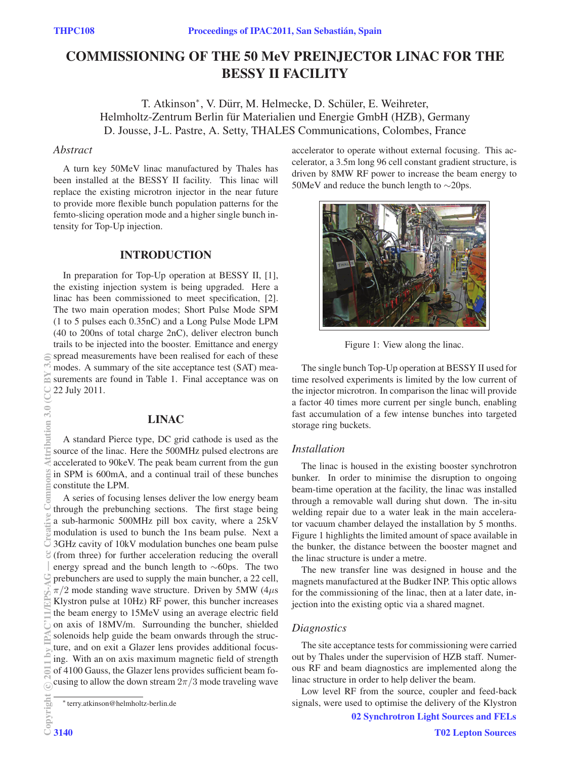# COMMISSIONING OF THE 50 MeV PREINJECTOR LINAC FOR THE BESSY II FACILITY

T. Atkinson<sup>∗</sup>, V. Dürr, M. Helmecke, D. Schüler, E. Weihreter, Helmholtz-Zentrum Berlin für Materialien und Energie GmbH (HZB), Germany D. Jousse, J-L. Pastre, A. Setty, THALES Communications, Colombes, France

# *Abstract*

A turn key 50MeV linac manufactured by Thales has been installed at the BESSY II facility. This linac will replace the existing microtron injector in the near future to provide more flexible bunch population patterns for the femto-slicing operation mode and a higher single bunch intensity for Top-Up injection.

# INTRODUCTION

In preparation for Top-Up operation at BESSY II, [1], the existing injection system is being upgraded. Here a linac has been commissioned to meet specification, [2]. The two main operation modes; Short Pulse Mode SPM (1 to 5 pulses each 0.35nC) and a Long Pulse Mode LPM (40 to 200ns of total charge 2nC), deliver electron bunch trails to be injected into the booster. Emittance and energy spread measurements have been realised for each of these modes. A summary of the site acceptance test (SAT) measurements are found in Table 1. Final acceptance was on 22 July 2011.

# LINAC

A standard Pierce type, DC grid cathode is used as the source of the linac. Here the 500MHz pulsed electrons are accelerated to 90keV. The peak beam current from the gun in SPM is 600mA, and a continual trail of these bunches constitute the LPM.

A series of focusing lenses deliver the low energy beam through the prebunching sections. The first stage being a sub-harmonic 500MHz pill box cavity, where a 25kV modulation is used to bunch the 1ns beam pulse. Next a 3GHz cavity of 10kV modulation bunches one beam pulse (from three) for further acceleration reducing the overall energy spread and the bunch length to ∼60ps. The two prebunchers are used to supply the main buncher, a 22 cell,  $\pi/2$  mode standing wave structure. Driven by 5MW (4 $\mu$ s Klystron pulse at 10Hz) RF power, this buncher increases the beam energy to 15MeV using an average electric field on axis of 18MV/m. Surrounding the buncher, shielded solenoids help guide the beam onwards through the structure, and on exit a Glazer lens provides additional focusing. With an on axis maximum magnetic field of strength of 4100 Gauss, the Glazer lens provides sufficient beam focusing to allow the down stream  $2\pi/3$  mode traveling wave accelerator to operate without external focusing. This accelerator, a 3.5m long 96 cell constant gradient structure, is driven by 8MW RF power to increase the beam energy to 50MeV and reduce the bunch length to ∼20ps.



Figure 1: View along the linac.

The single bunch Top-Up operation at BESSY II used for time resolved experiments is limited by the low current of the injector microtron. In comparison the linac will provide a factor 40 times more current per single bunch, enabling fast accumulation of a few intense bunches into targeted storage ring buckets.

## *Installation*

The linac is housed in the existing booster synchrotron bunker. In order to minimise the disruption to ongoing beam-time operation at the facility, the linac was installed through a removable wall during shut down. The in-situ welding repair due to a water leak in the main accelerator vacuum chamber delayed the installation by 5 months. Figure 1 highlights the limited amount of space available in the bunker, the distance between the booster magnet and the linac structure is under a metre.

The new transfer line was designed in house and the magnets manufactured at the Budker INP. This optic allows for the commissioning of the linac, then at a later date, injection into the existing optic via a shared magnet.

## *Diagnostics*

The site acceptance tests for commissioning were carried out by Thales under the supervision of HZB staff. Numerous RF and beam diagnostics are implemented along the linac structure in order to help deliver the beam.

Low level RF from the source, coupler and feed-back signals, were used to optimise the delivery of the Klystron

<sup>∗</sup> terry.atkinson@helmholtz-berlin.de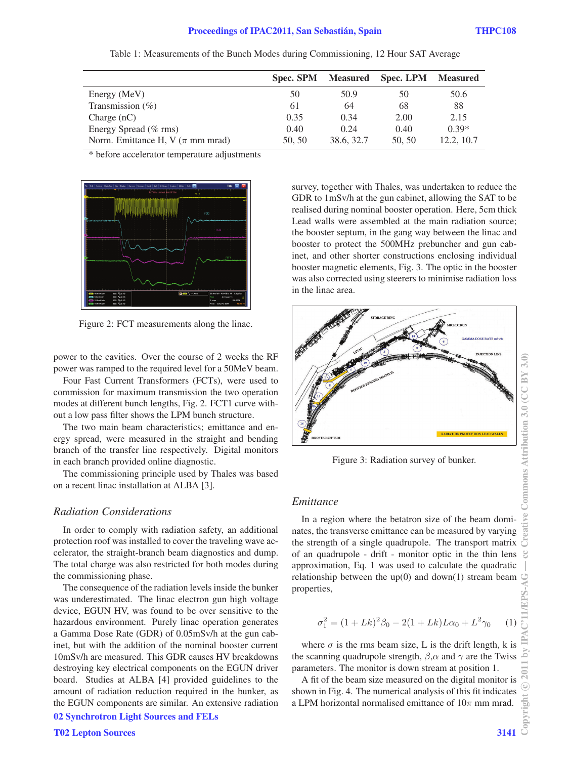|                                       | Spec. SPM Measured |            | <b>Spec. LPM</b> | Measured   |
|---------------------------------------|--------------------|------------|------------------|------------|
| Energy (MeV)                          | 50                 | 50.9       | 50               | 50.6       |
| Transmission $(\% )$                  | 61                 | 64         | 68               | 88         |
| Charge $(nC)$                         | 0.35               | 0.34       | 2.00             | 2.15       |
| Energy Spread (% rms)                 | 0.40               | 0.24       | 0.40             | $0.39*$    |
| Norm. Emittance H, V ( $\pi$ mm mrad) | 50, 50             | 38.6, 32.7 | 50.50            | 12.2, 10.7 |

Table 1: Measurements of the Bunch Modes during Commissioning, 12 Hour SAT Average

\* before accelerator temperature adjustments



Figure 2: FCT measurements along the linac.

power to the cavities. Over the course of 2 weeks the RF power was ramped to the required level for a 50MeV beam.

Four Fast Current Transformers (FCTs), were used to commission for maximum transmission the two operation modes at different bunch lengths, Fig. 2. FCT1 curve without a low pass filter shows the LPM bunch structure.

The two main beam characteristics; emittance and energy spread, were measured in the straight and bending branch of the transfer line respectively. Digital monitors in each branch provided online diagnostic.

The commissioning principle used by Thales was based on a recent linac installation at ALBA [3].

# *Radiation Considerations*

In order to comply with radiation safety, an additional protection roof was installed to cover the traveling wave accelerator, the straight-branch beam diagnostics and dump. The total charge was also restricted for both modes during the commissioning phase.

The consequence of the radiation levels inside the bunker was underestimated. The linac electron gun high voltage device, EGUN HV, was found to be over sensitive to the hazardous environment. Purely linac operation generates a Gamma Dose Rate (GDR) of 0.05mSv/h at the gun cabinet, but with the addition of the nominal booster current 10mSv/h are measured. This GDR causes HV breakdowns destroying key electrical components on the EGUN driver board. Studies at ALBA [4] provided guidelines to the amount of radiation reduction required in the bunker, as the EGUN components are similar. An extensive radiation

02 Synchrotron Light Sources and FELs

survey, together with Thales, was undertaken to reduce the GDR to 1mSv/h at the gun cabinet, allowing the SAT to be realised during nominal booster operation. Here, 5cm thick Lead walls were assembled at the main radiation source; the booster septum, in the gang way between the linac and booster to protect the 500MHz prebuncher and gun cabinet, and other shorter constructions enclosing individual booster magnetic elements, Fig. 3. The optic in the booster was also corrected using steerers to minimise radiation loss in the linac area.



Figure 3: Radiation survey of bunker.

#### *Emittance*

In a region where the betatron size of the beam dominates, the transverse emittance can be measured by varying the strength of a single quadrupole. The transport matrix of an quadrupole - drift - monitor optic in the thin lens approximation, Eq. 1 was used to calculate the quadratic relationship between the  $up(0)$  and  $down(1)$  stream beam properties,

$$
\sigma_1^2 = (1 + Lk)^2 \beta_0 - 2(1 + Lk)L\alpha_0 + L^2 \gamma_0 \qquad (1)
$$

where  $\sigma$  is the rms beam size, L is the drift length, k is the scanning quadrupole strength,  $\beta$ ,  $\alpha$  and  $\gamma$  are the Twiss parameters. The monitor is down stream at position 1.

A fit of the beam size measured on the digital monitor is shown in Fig. 4. The numerical analysis of this fit indicates a LPM horizontal normalised emittance of  $10\pi$  mm mrad.